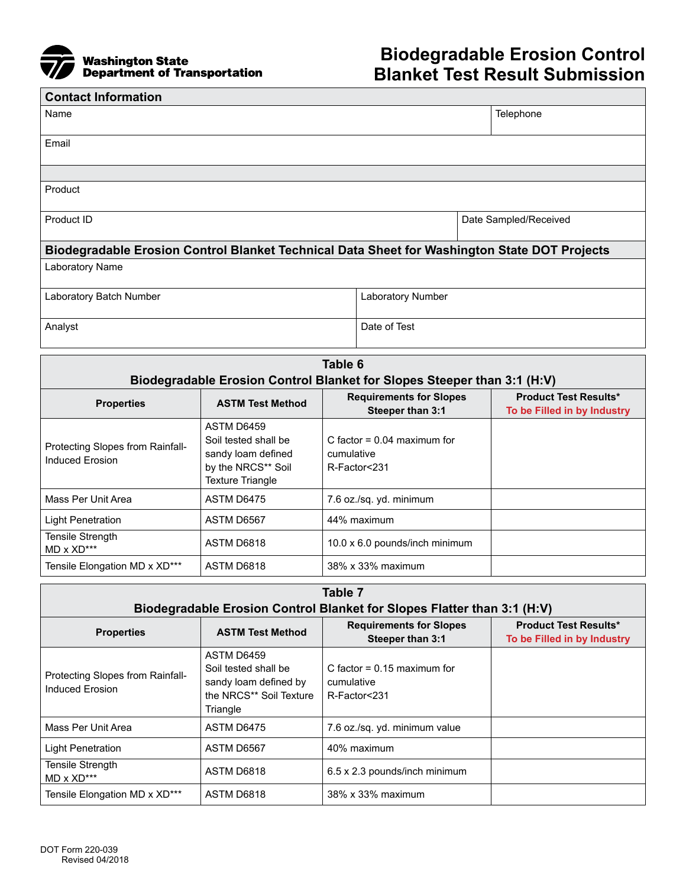

| <b>Contact Information</b>                                                                   |                   |                       |  |  |  |
|----------------------------------------------------------------------------------------------|-------------------|-----------------------|--|--|--|
| Name                                                                                         |                   | Telephone             |  |  |  |
| Email                                                                                        |                   |                       |  |  |  |
|                                                                                              |                   |                       |  |  |  |
| Product                                                                                      |                   |                       |  |  |  |
| Product ID                                                                                   |                   | Date Sampled/Received |  |  |  |
| Biodegradable Erosion Control Blanket Technical Data Sheet for Washington State DOT Projects |                   |                       |  |  |  |
| Laboratory Name                                                                              |                   |                       |  |  |  |
| Laboratory Batch Number                                                                      | Laboratory Number |                       |  |  |  |
| Analyst                                                                                      | Date of Test      |                       |  |  |  |

| Table 6                                                                 |                                                                                                           |                                                             |                                                             |  |  |
|-------------------------------------------------------------------------|-----------------------------------------------------------------------------------------------------------|-------------------------------------------------------------|-------------------------------------------------------------|--|--|
| Biodegradable Erosion Control Blanket for Slopes Steeper than 3:1 (H:V) |                                                                                                           |                                                             |                                                             |  |  |
| <b>Properties</b>                                                       | <b>ASTM Test Method</b>                                                                                   | <b>Requirements for Slopes</b><br>Steeper than 3:1          | <b>Product Test Results*</b><br>To be Filled in by Industry |  |  |
| Protecting Slopes from Rainfall-<br><b>Induced Erosion</b>              | ASTM D6459<br>Soil tested shall be<br>sandy loam defined<br>by the NRCS** Soil<br><b>Texture Triangle</b> | C factor = $0.04$ maximum for<br>cumulative<br>R-Factor<231 |                                                             |  |  |
| Mass Per Unit Area                                                      | ASTM D6475                                                                                                | 7.6 oz./sq. yd. minimum                                     |                                                             |  |  |
| Light Penetration                                                       | ASTM D6567                                                                                                | 44% maximum                                                 |                                                             |  |  |
| Tensile Strength<br>$MD \times XD***$                                   | ASTM D6818                                                                                                | 10.0 x 6.0 pounds/inch minimum                              |                                                             |  |  |
| Tensile Elongation MD x XD***                                           | ASTM D6818                                                                                                | 38% x 33% maximum                                           |                                                             |  |  |

| Table 7<br>Biodegradable Erosion Control Blanket for Slopes Flatter than 3:1 (H:V) |                                                                                                    |                                                             |                                                             |  |
|------------------------------------------------------------------------------------|----------------------------------------------------------------------------------------------------|-------------------------------------------------------------|-------------------------------------------------------------|--|
| <b>Properties</b>                                                                  | <b>ASTM Test Method</b>                                                                            | <b>Requirements for Slopes</b><br>Steeper than 3:1          | <b>Product Test Results*</b><br>To be Filled in by Industry |  |
| Protecting Slopes from Rainfall-<br>Induced Erosion                                | ASTM D6459<br>Soil tested shall be<br>sandy loam defined by<br>the NRCS** Soil Texture<br>Triangle | C factor = $0.15$ maximum for<br>cumulative<br>R-Factor<231 |                                                             |  |
| Mass Per Unit Area                                                                 | ASTM D6475                                                                                         | 7.6 oz./sq. yd. minimum value                               |                                                             |  |
| <b>Light Penetration</b>                                                           | ASTM D6567                                                                                         | 40% maximum                                                 |                                                             |  |
| Tensile Strength<br>$MD \times \text{XD}$ ***                                      | ASTM D6818                                                                                         | 6.5 x 2.3 pounds/inch minimum                               |                                                             |  |
| Tensile Elongation MD x XD***                                                      | ASTM D6818                                                                                         | 38% x 33% maximum                                           |                                                             |  |